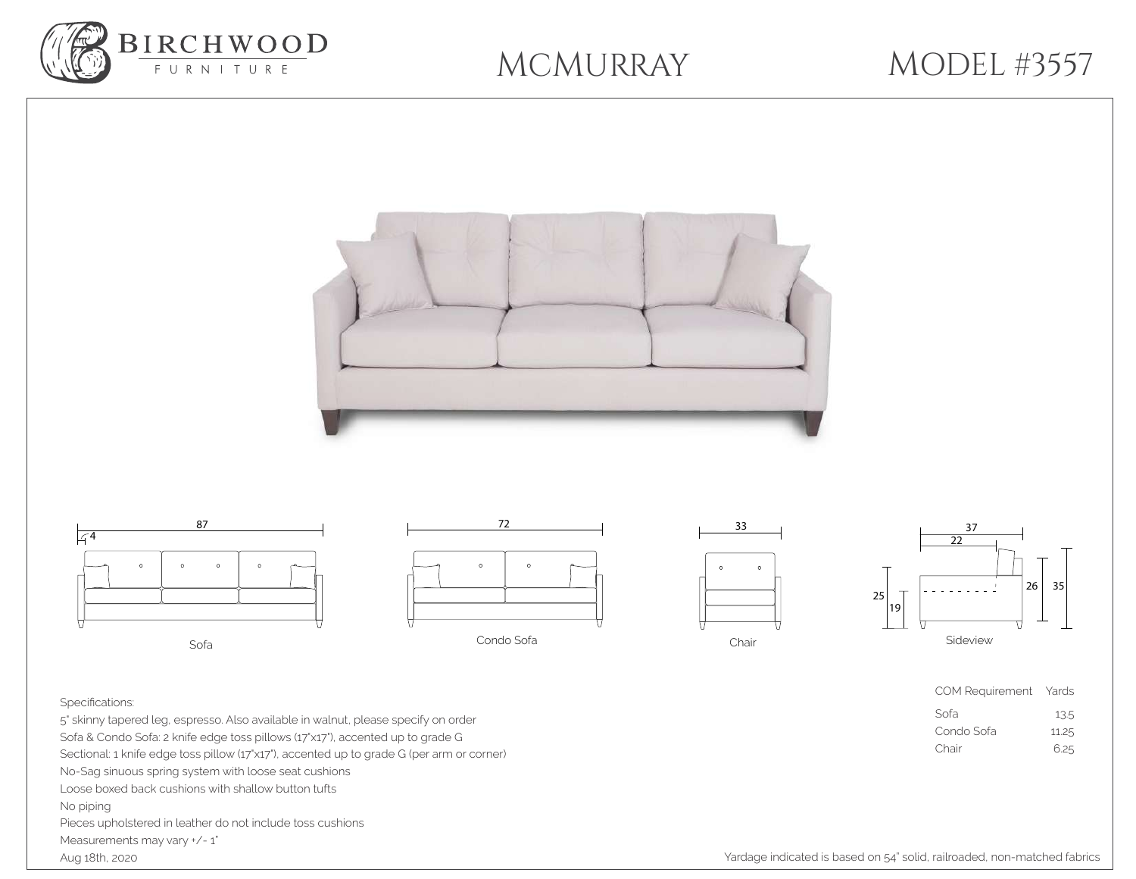

## MCMURRAY

## MODEL #3557



## Specifications:

5" skinny tapered leg, espresso. Also available in walnut, please specify on order Sofa & Condo Sofa: 2 knife edge toss pillows (17"x17"), accented up to grade G Sectional: 1 knife edge toss pillow (17'x17'), accented up to grade G (per arm or corner) No-Sag sinuous spring system with loose seat cushions Loose boxed back cushions with shallow button tufts No piping Pieces upholstered in leather do not include toss cushions Measurements may vary  $*/-1"$ Aug 18th, 2020

Yardage indicated is based on 54" solid, railroaded, non-matched fabrics

COM Requirement Yards Sofa 13.5 Condo Sofa 11.25 Chair 6.25